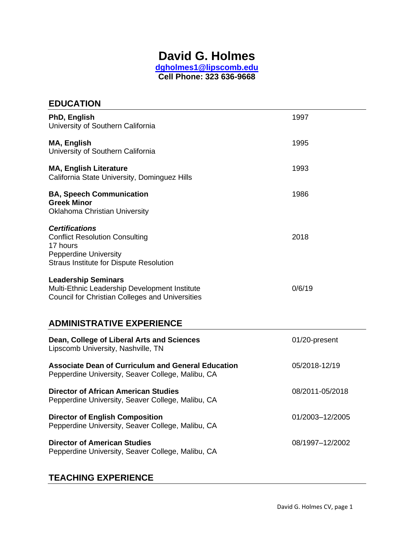# **David G. Holmes**

**[dgholmes1@lipscomb.edu](mailto:dgholmes1@lipscomb.edu) Cell Phone: 323 636-9668** 

| <b>EDUCATION</b>                                                                                                                                             |                 |
|--------------------------------------------------------------------------------------------------------------------------------------------------------------|-----------------|
| PhD, English<br>University of Southern California                                                                                                            | 1997            |
| <b>MA, English</b><br>University of Southern California                                                                                                      | 1995            |
| <b>MA, English Literature</b><br>California State University, Dominguez Hills                                                                                | 1993            |
| <b>BA, Speech Communication</b><br><b>Greek Minor</b><br><b>Oklahoma Christian University</b>                                                                | 1986            |
| <b>Certifications</b><br><b>Conflict Resolution Consulting</b><br>17 hours<br><b>Pepperdine University</b><br><b>Straus Institute for Dispute Resolution</b> | 2018            |
| <b>Leadership Seminars</b><br>Multi-Ethnic Leadership Development Institute<br><b>Council for Christian Colleges and Universities</b>                        | 0/6/19          |
| <b>ADMINISTRATIVE EXPERIENCE</b>                                                                                                                             |                 |
| Dean, College of Liberal Arts and Sciences<br>Lipscomb University, Nashville, TN                                                                             | 01/20-present   |
| <b>Associate Dean of Curriculum and General Education</b><br>Pepperdine University, Seaver College, Malibu, CA                                               | 05/2018-12/19   |
| <b>Director of African American Studies</b><br>Pepperdine University, Seaver College, Malibu, CA                                                             | 08/2011-05/2018 |
| <b>Director of English Composition</b><br>Pepperdine University, Seaver College, Malibu, CA                                                                  | 01/2003-12/2005 |
| <b>Director of American Studies</b><br>Pepperdine University, Seaver College, Malibu, CA                                                                     | 08/1997-12/2002 |

# **TEACHING EXPERIENCE**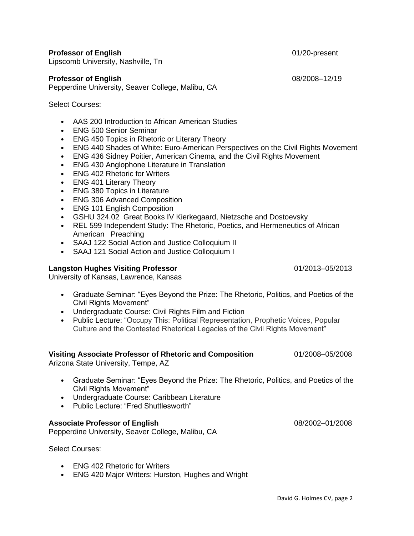# **Professor of English** 01/20-present

Lipscomb University, Nashville, Tn

#### **Professor of English** 08/2008–12/19

Pepperdine University, Seaver College, Malibu, CA

Select Courses:

- AAS 200 Introduction to African American Studies
- ENG 500 Senior Seminar
- ENG 450 Topics in Rhetoric or Literary Theory
- ENG 440 Shades of White: Euro-American Perspectives on the Civil Rights Movement
- ENG 436 Sidney Poitier, American Cinema, and the Civil Rights Movement
- ENG 430 Anglophone Literature in Translation
- FNG 402 Rhetoric for Writers
- ENG 401 Literary Theory
- ENG 380 Topics in Literature
- ENG 306 Advanced Composition
- ENG 101 English Composition
- [GSHU 324.02 G](https://courses.pepperdine.edu/portal/site/gshu324.02_2182)reat Books IV Kierkegaard, Nietzsche and Dostoevsky
- REL 599 Independent Study: The Rhetoric, Poetics, and Hermeneutics of African American Preaching
- SAAJ 122 Social Action and Justice Colloquium II
- SAAJ 121 Social Action and Justice Colloquium I

# **Langston Hughes Visiting Professor** 01/2013–05/2013

University of Kansas, Lawrence, Kansas

- Graduate Seminar: "Eyes Beyond the Prize: The Rhetoric, Politics, and Poetics of the Civil Rights Movement"
- Undergraduate Course: Civil Rights Film and Fiction
- Public Lecture: "Occupy This: Political Representation, Prophetic Voices, Popular Culture and the Contested Rhetorical Legacies of the Civil Rights Movement"

#### **Visiting Associate Professor of Rhetoric and Composition** 01/2008–05/2008

Arizona State University, Tempe, AZ

- Graduate Seminar: "Eyes Beyond the Prize: The Rhetoric, Politics, and Poetics of the Civil Rights Movement"
- Undergraduate Course: Caribbean Literature
- Public Lecture: "Fred Shuttlesworth"

#### **Associate Professor of English** 08/2002–01/2008

Pepperdine University, Seaver College, Malibu, CA

Select Courses:

- ENG 402 Rhetoric for Writers
- ENG 420 Major Writers: Hurston, Hughes and Wright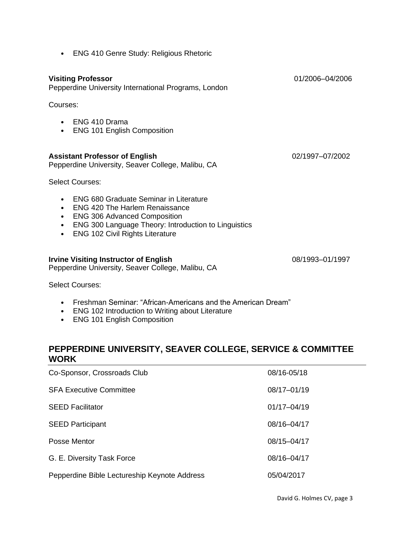**Visiting Professor** 01/2006–04/2006 Pepperdine University International Programs, London Courses: • ENG 410 Drama • ENG 101 English Composition **Assistant Professor of English** 02/1997–07/2002 Pepperdine University, Seaver College, Malibu, CA Select Courses: • ENG 680 Graduate Seminar in Literature • ENG 420 The Harlem Renaissance • ENG 306 Advanced Composition • ENG 300 Language Theory: Introduction to Linguistics • ENG 102 Civil Rights Literature **Irvine Visiting Instructor of English 1998 1998 1998 1998 1997 1997** Pepperdine University, Seaver College, Malibu, CA

Select Courses:

- Freshman Seminar: "African-Americans and the American Dream"
- ENG 102 Introduction to Writing about Literature
- ENG 101 English Composition

# **PEPPERDINE UNIVERSITY, SEAVER COLLEGE, SERVICE & COMMITTEE WORK**

| Co-Sponsor, Crossroads Club                  | 08/16-05/18     |
|----------------------------------------------|-----------------|
| <b>SFA Executive Committee</b>               | 08/17-01/19     |
| <b>SEED Facilitator</b>                      | $01/17 - 04/19$ |
| <b>SEED Participant</b>                      | 08/16-04/17     |
| Posse Mentor                                 | 08/15-04/17     |
| G. E. Diversity Task Force                   | $08/16 - 04/17$ |
| Pepperdine Bible Lectureship Keynote Address | 05/04/2017      |

# • ENG 410 Genre Study: Religious Rhetoric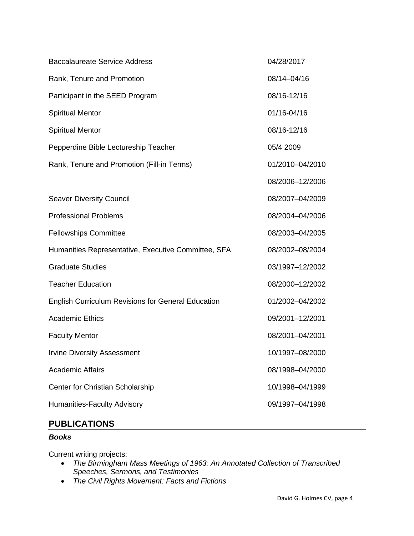| <b>Baccalaureate Service Address</b>                | 04/28/2017      |
|-----------------------------------------------------|-----------------|
| Rank, Tenure and Promotion                          | 08/14-04/16     |
| Participant in the SEED Program                     | 08/16-12/16     |
| <b>Spiritual Mentor</b>                             | 01/16-04/16     |
| <b>Spiritual Mentor</b>                             | 08/16-12/16     |
| Pepperdine Bible Lectureship Teacher                | 05/4 2009       |
| Rank, Tenure and Promotion (Fill-in Terms)          | 01/2010-04/2010 |
|                                                     | 08/2006-12/2006 |
| <b>Seaver Diversity Council</b>                     | 08/2007-04/2009 |
| <b>Professional Problems</b>                        | 08/2004-04/2006 |
| <b>Fellowships Committee</b>                        | 08/2003-04/2005 |
| Humanities Representative, Executive Committee, SFA | 08/2002-08/2004 |
| <b>Graduate Studies</b>                             | 03/1997-12/2002 |
| <b>Teacher Education</b>                            | 08/2000-12/2002 |
| English Curriculum Revisions for General Education  | 01/2002-04/2002 |
| <b>Academic Ethics</b>                              | 09/2001-12/2001 |
| <b>Faculty Mentor</b>                               | 08/2001-04/2001 |
| <b>Irvine Diversity Assessment</b>                  | 10/1997-08/2000 |
| <b>Academic Affairs</b>                             | 08/1998-04/2000 |
| Center for Christian Scholarship                    | 10/1998-04/1999 |
| Humanities-Faculty Advisory                         | 09/1997-04/1998 |
|                                                     |                 |

# **PUBLICATIONS**

# *Books*

Current writing projects:

- *The Birmingham Mass Meetings of 1963: An Annotated Collection of Transcribed Speeches, Sermons, and Testimonies*
- *The Civil Rights Movement: Facts and Fictions*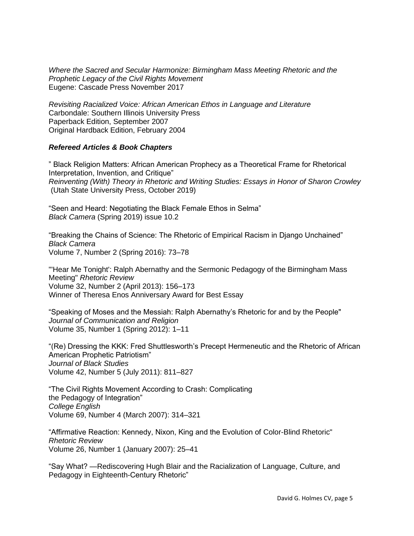*Where the Sacred and Secular Harmonize: Birmingham Mass Meeting Rhetoric and the Prophetic Legacy of the Civil Rights Movement* Eugene: Cascade Press November 2017

*Revisiting Racialized Voice: African American Ethos in Language and Literature* Carbondale: Southern Illinois University Press Paperback Edition, September 2007 Original Hardback Edition, February 2004

## *Refereed Articles & Book Chapters*

" Black Religion Matters: African American Prophecy as a Theoretical Frame for Rhetorical Interpretation, Invention, and Critique" *Reinventing (With) Theory in Rhetoric and Writing Studies: Essays in Honor of Sharon Crowley* (Utah State University Press, October 2019)

"Seen and Heard: Negotiating the Black Female Ethos in Selma" *Black Camera* (Spring 2019) issue 10.2

"Breaking the Chains of Science: The Rhetoric of Empirical Racism in Django Unchained" *Black Camera* Volume 7, Number 2 (Spring 2016): 73–78

"'Hear Me Tonight': Ralph Abernathy and the Sermonic Pedagogy of the Birmingham Mass Meeting" *Rhetoric Review* Volume 32, Number 2 (April 2013): 156–173 Winner of Theresa Enos Anniversary Award for Best Essay

"Speaking of Moses and the Messiah: Ralph Abernathy's Rhetoric for and by the People" *Journal of Communication and Religion* Volume 35, Number 1 (Spring 2012): 1–11

"(Re) Dressing the KKK: Fred Shuttlesworth's Precept Hermeneutic and the Rhetoric of African American Prophetic Patriotism" *Journal of Black Studies* Volume 42, Number 5 (July 2011): 811–827

"The Civil Rights Movement According to Crash: Complicating the Pedagogy of Integration" *College English* Volume 69, Number 4 (March 2007): 314–321

"Affirmative Reaction: Kennedy, Nixon, King and the Evolution of Color-Blind Rhetoric" *Rhetoric Review* Volume 26, Number 1 (January 2007): 25–41

"Say What? —Rediscovering Hugh Blair and the Racialization of Language, Culture, and Pedagogy in Eighteenth-Century Rhetoric"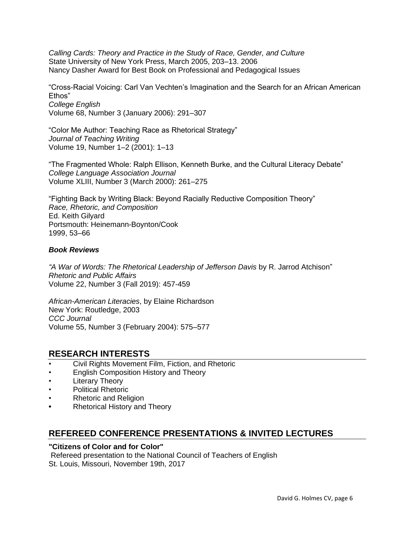*Calling Cards: Theory and Practice in the Study of Race, Gender, and Culture* State University of New York Press, March 2005, 203–13. 2006 Nancy Dasher Award for Best Book on Professional and Pedagogical Issues

"Cross-Racial Voicing: Carl Van Vechten's Imagination and the Search for an African American Ethos" *College English* Volume 68, Number 3 (January 2006): 291–307

"Color Me Author: Teaching Race as Rhetorical Strategy" *Journal of Teaching Writing* Volume 19, Number 1–2 (2001): 1–13

"The Fragmented Whole: Ralph Ellison, Kenneth Burke, and the Cultural Literacy Debate" *College Language Association Journal* Volume XLIII, Number 3 (March 2000): 261–275

"Fighting Back by Writing Black: Beyond Racially Reductive Composition Theory" *Race, Rhetoric, and Composition* Ed. Keith Gilyard Portsmouth: Heinemann-Boynton/Cook 1999, 53–66

# *Book Reviews*

"A War of Words: The Rhetorical Leadership of Jefferson Davis by R. Jarrod Atchison" *Rhetoric and Public Affairs* Volume 22, Number 3 (Fall 2019): 457-459

*African-American Literacies*, by Elaine Richardson New York: Routledge, 2003 *CCC Journal* Volume 55, Number 3 (February 2004): 575–577

# **RESEARCH INTERESTS**

- Civil Rights Movement Film, Fiction, and Rhetoric
- English Composition History and Theory
- **Literary Theory**
- Political Rhetoric
- Rhetoric and Religion
- **•** Rhetorical History and Theory

# **REFEREED CONFERENCE PRESENTATIONS & INVITED LECTURES**

# **"Citizens of Color and for Color"**

Refereed presentation to the National Council of Teachers of English St. Louis, Missouri, November 19th, 2017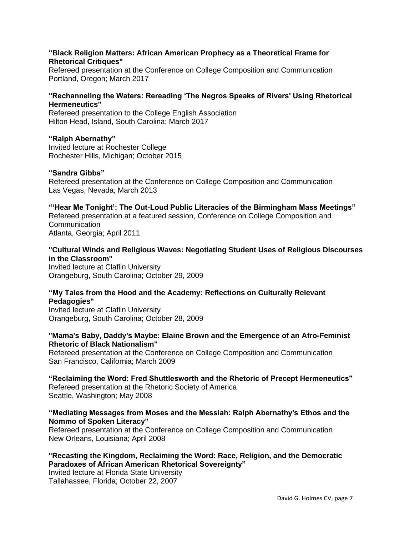### **"Black Religion Matters: African American Prophecy as a Theoretical Frame for Rhetorical Critiques"**

Refereed presentation at the Conference on College Composition and Communication Portland, Oregon; March 2017

# **"Rechanneling the Waters: Rereading 'The Negros Speaks of Rivers' Using Rhetorical Hermeneutics"**

Refereed presentation to the College English Association Hilton Head, Island, South Carolina; March 2017

## **"Ralph Abernathy"**

Invited lecture at Rochester College Rochester Hills, Michigan; October 2015

#### **"Sandra Gibbs"**

Refereed presentation at the Conference on College Composition and Communication Las Vegas, Nevada; March 2013

#### **"'Hear Me Tonight': The Out-Loud Public Literacies of the Birmingham Mass Meetings"** Refereed presentation at a featured session, Conference on College Composition and **Communication** Atlanta, Georgia; April 2011

# **"Cultural Winds and Religious Waves: Negotiating Student Uses of Religious Discourses in the Classroom"**

Invited lecture at Claflin University Orangeburg, South Carolina; October 29, 2009

# **"My Tales from the Hood and the Academy: Reflections on Culturally Relevant Pedagogies"**

Invited lecture at Claflin University Orangeburg, South Carolina; October 28, 2009

## **"Mama's Baby, Daddy's Maybe: Elaine Brown and the Emergence of an Afro-Feminist Rhetoric of Black Nationalism"**

Refereed presentation at the Conference on College Composition and Communication San Francisco, California; March 2009

**"Reclaiming the Word: Fred Shuttlesworth and the Rhetoric of Precept Hermeneutics"** Refereed presentation at the Rhetoric Society of America Seattle, Washington; May 2008

# **"Mediating Messages from Moses and the Messiah: Ralph Abernathy's Ethos and the Nommo of Spoken Literacy"**

Refereed presentation at the Conference on College Composition and Communication New Orleans, Louisiana; April 2008

# **"Recasting the Kingdom, Reclaiming the Word: Race, Religion, and the Democratic Paradoxes of African American Rhetorical Sovereignty"**

Invited lecture at Florida State University Tallahassee, Florida; October 22, 2007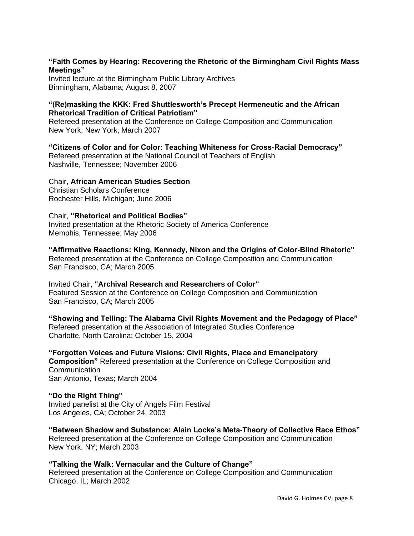# **"Faith Comes by Hearing: Recovering the Rhetoric of the Birmingham Civil Rights Mass Meetings"**

Invited lecture at the Birmingham Public Library Archives Birmingham, Alabama; August 8, 2007

# **"(Re)masking the KKK: Fred Shuttlesworth's Precept Hermeneutic and the African Rhetorical Tradition of Critical Patriotism"**

Refereed presentation at the Conference on College Composition and Communication New York, New York; March 2007

**"Citizens of Color and for Color: Teaching Whiteness for Cross-Racial Democracy"** Refereed presentation at the National Council of Teachers of English Nashville, Tennessee; November 2006

# Chair, **African American Studies Section**

Christian Scholars Conference Rochester Hills, Michigan; June 2006

# Chair, **"Rhetorical and Political Bodies"**

Invited presentation at the Rhetoric Society of America Conference Memphis, Tennessee; May 2006

# **"Affirmative Reactions: King, Kennedy, Nixon and the Origins of Color-Blind Rhetoric"**

Refereed presentation at the Conference on College Composition and Communication San Francisco, CA; March 2005

Invited Chair, **"Archival Research and Researchers of Color"** Featured Session at the Conference on College Composition and Communication San Francisco, CA; March 2005

**"Showing and Telling: The Alabama Civil Rights Movement and the Pedagogy of Place"** Refereed presentation at the Association of Integrated Studies Conference Charlotte, North Carolina; October 15, 2004

**"Forgotten Voices and Future Visions: Civil Rights, Place and Emancipatory Composition"** Refereed presentation at the Conference on College Composition and Communication San Antonio, Texas; March 2004

# **"Do the Right Thing"**

Invited panelist at the City of Angels Film Festival Los Angeles, CA; October 24, 2003

**"Between Shadow and Substance: Alain Locke's Meta-Theory of Collective Race Ethos"** Refereed presentation at the Conference on College Composition and Communication New York, NY; March 2003

**"Talking the Walk: Vernacular and the Culture of Change"** Refereed presentation at the Conference on College Composition and Communication Chicago, IL; March 2002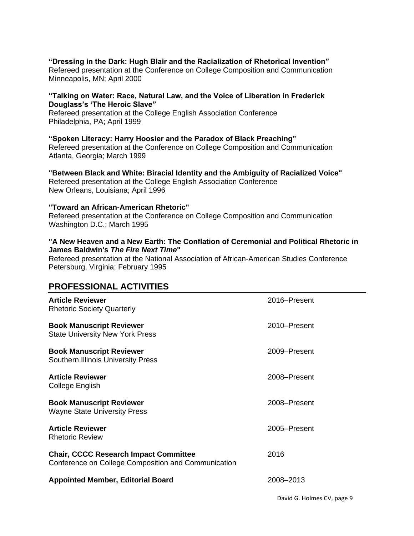**"Dressing in the Dark: Hugh Blair and the Racialization of Rhetorical Invention"** Refereed presentation at the Conference on College Composition and Communication Minneapolis, MN; April 2000

# **"Talking on Water: Race, Natural Law, and the Voice of Liberation in Frederick Douglass's 'The Heroic Slave"**

Refereed presentation at the College English Association Conference Philadelphia, PA; April 1999

**"Spoken Literacy: Harry Hoosier and the Paradox of Black Preaching"** Refereed presentation at the Conference on College Composition and Communication Atlanta, Georgia; March 1999

**"Between Black and White: Biracial Identity and the Ambiguity of Racialized Voice"** Refereed presentation at the College English Association Conference New Orleans, Louisiana; April 1996

### **"Toward an African-American Rhetoric"**

Refereed presentation at the Conference on College Composition and Communication Washington D.C.; March 1995

### **"A New Heaven and a New Earth: The Conflation of Ceremonial and Political Rhetoric in James Baldwin's** *The Fire Next Time***"**

Refereed presentation at the National Association of African-American Studies Conference Petersburg, Virginia; February 1995

# **PROFESSIONAL ACTIVITIES**

| <b>Article Reviewer</b><br><b>Rhetoric Society Quarterly</b>                                        | 2016–Present |
|-----------------------------------------------------------------------------------------------------|--------------|
| <b>Book Manuscript Reviewer</b><br><b>State University New York Press</b>                           | 2010-Present |
| <b>Book Manuscript Reviewer</b><br><b>Southern Illinois University Press</b>                        | 2009–Present |
| <b>Article Reviewer</b><br>College English                                                          | 2008-Present |
| <b>Book Manuscript Reviewer</b><br><b>Wayne State University Press</b>                              | 2008-Present |
| <b>Article Reviewer</b><br><b>Rhetoric Review</b>                                                   | 2005-Present |
| <b>Chair, CCCC Research Impact Committee</b><br>Conference on College Composition and Communication | 2016         |
| <b>Appointed Member, Editorial Board</b>                                                            | 2008-2013    |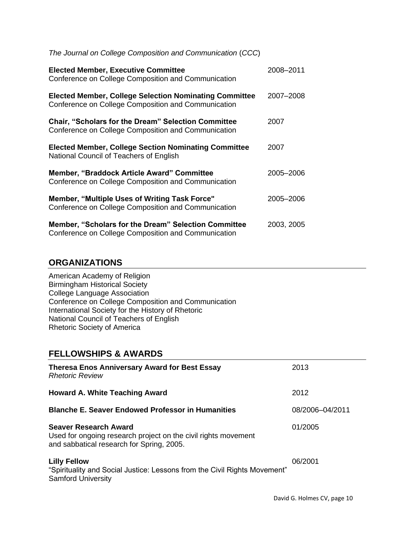| The Journal on College Composition and Communication (CCC)                                                           |            |
|----------------------------------------------------------------------------------------------------------------------|------------|
| <b>Elected Member, Executive Committee</b><br>Conference on College Composition and Communication                    | 2008-2011  |
| <b>Elected Member, College Selection Nominating Committee</b><br>Conference on College Composition and Communication | 2007-2008  |
| <b>Chair, "Scholars for the Dream" Selection Committee</b><br>Conference on College Composition and Communication    | 2007       |
| <b>Elected Member, College Section Nominating Committee</b><br>National Council of Teachers of English               | 2007       |
| <b>Member, "Braddock Article Award" Committee</b><br>Conference on College Composition and Communication             | 2005-2006  |
| Member, "Multiple Uses of Writing Task Force"<br>Conference on College Composition and Communication                 | 2005-2006  |
| <b>Member, "Scholars for the Dream" Selection Committee</b><br>Conference on College Composition and Communication   | 2003, 2005 |

# **ORGANIZATIONS**

American Academy of Religion Birmingham Historical Society College Language Association Conference on College Composition and Communication International Society for the History of Rhetoric National Council of Teachers of English Rhetoric Society of America

# **FELLOWSHIPS & AWARDS**

| <b>Theresa Enos Anniversary Award for Best Essay</b><br><b>Rhetoric Review</b>                                                              | 2013            |
|---------------------------------------------------------------------------------------------------------------------------------------------|-----------------|
| <b>Howard A. White Teaching Award</b>                                                                                                       | 2012            |
| <b>Blanche E. Seaver Endowed Professor in Humanities</b>                                                                                    | 08/2006-04/2011 |
| <b>Seaver Research Award</b><br>Used for ongoing research project on the civil rights movement<br>and sabbatical research for Spring, 2005. | 01/2005         |
| <b>Lilly Fellow</b><br>"Spirituality and Social Justice: Lessons from the Civil Rights Movement"<br><b>Samford University</b>               | 06/2001         |